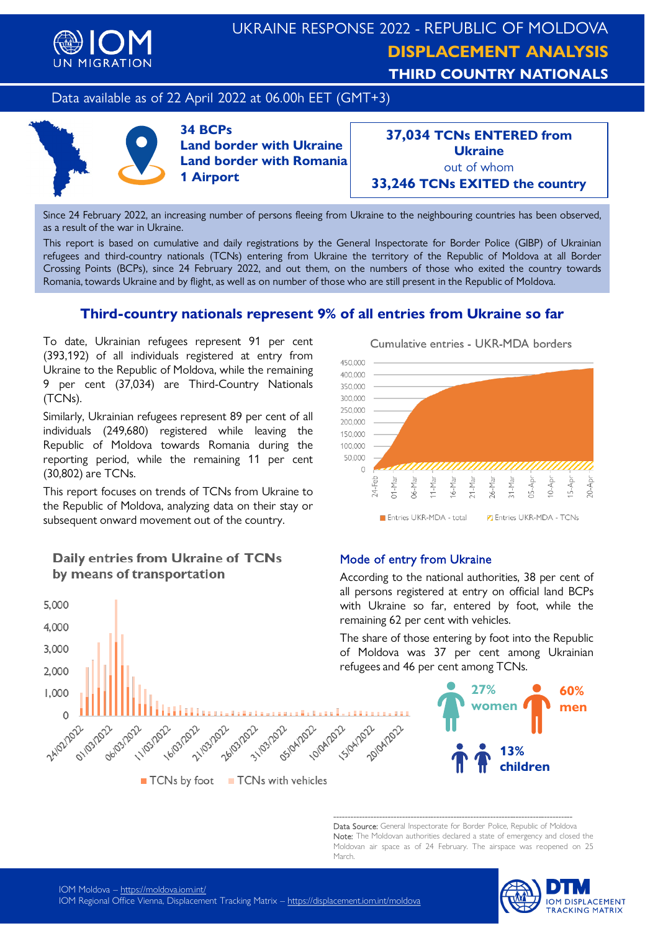

## UKRAINE RESPONSE 2022 - REPUBLIC OF MOLDOVA **DISPLACEMENT ANALYSIS THIRD COUNTRY NATIONALS**

## Data available as of 22 April 2022 at 06.00h EET (GMT+3)



**34 BCPs Land border with Ukraine Land border with Romania 1 Airport**

**37,034 TCNs ENTERED from Ukraine** out of whom **33,246 TCNs EXITED the country**

Since 24 February 2022, an increasing number of persons fleeing from Ukraine to the neighbouring countries has been observed, as a result of the war in Ukraine.

This report is based on cumulative and daily registrations by the General Inspectorate for Border Police (GIBP) of Ukrainian refugees and third-country nationals (TCNs) entering from Ukraine the territory of the Republic of Moldova at all Border Crossing Points (BCPs), since 24 February 2022, and out them, on the numbers of those who exited the country towards Romania, towards Ukraine and by flight, as well as on number of those who are still present in the Republic of Moldova.

## **Third-country nationals represent 9% of all entries from Ukraine so far**

To date, Ukrainian refugees represent 91 per cent (393,192) of all individuals registered at entry from Ukraine to the Republic of Moldova, while the remaining 9 per cent (37,034) are Third-Country Nationals (TCNs).

Similarly, Ukrainian refugees represent 89 per cent of all individuals (249,680) registered while leaving the Republic of Moldova towards Romania during the reporting period, while the remaining 11 per cent (30,802) are TCNs.

This report focuses on trends of TCNs from Ukraine to the Republic of Moldova, analyzing data on their stay or subsequent onward movement out of the country.

### Daily entries from Ukraine of TCNs by means of transportation

**16/03/2022** 

5,000 4,000 3,000 2,000 1.000

 $\Omega$ 

24/02/2022

ollos/pp2

**06/03/2022** 

11/03/2022



#### Mode of entry from Ukraine

**15/04/2022** 

20/04/2022

**10/04/2022** 

According to the national authorities, 38 per cent of all persons registered at entry on official land BCPs with Ukraine so far, entered by foot, while the remaining 62 per cent with vehicles.

The share of those entering by foot into the Republic of Moldova was 37 per cent among Ukrainian refugees and 46 per cent among TCNs.



------------------------------------------------------------------------------------ Data Source: General Inspectorate for Border Police, Republic of Moldova Note: The Moldovan authorities declared a state of emergency and closed the Moldovan air space as of 24 February. The airspace was reopened on 25 March.



**26/03/2022** 

■ TCNs by foot ■ TCNs with vehicles

21/03/2022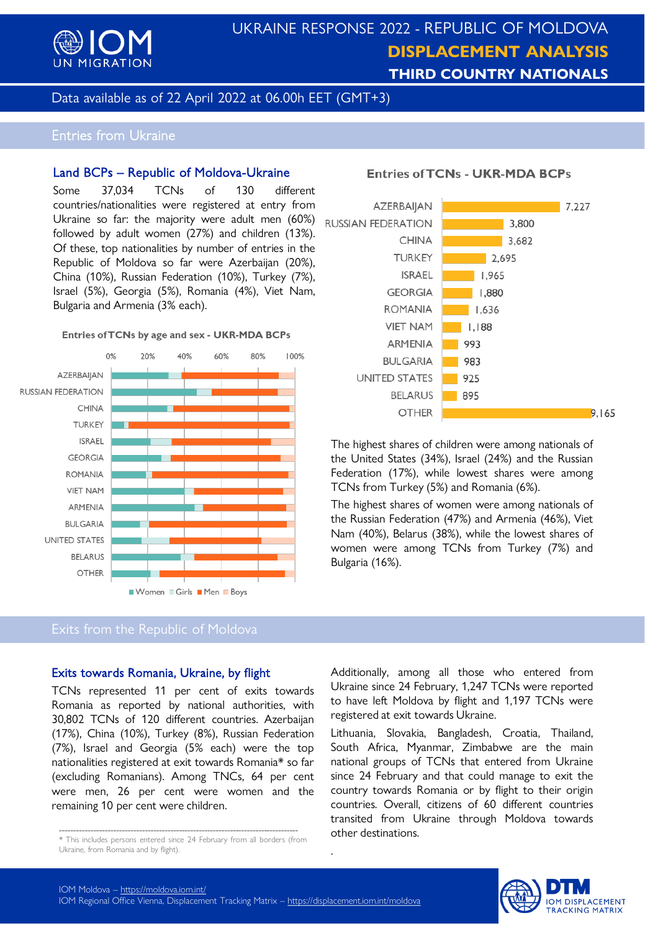

## UKRAINE RESPONSE 2022 - REPUBLIC OF MOLDOVA **DISPLACEMENT ANALYSIS THIRD COUNTRY NATIONALS**

Data available as of 22 April 2022 at 06.00h EET (GMT+3)

## Entries from Ukraine

#### Land BCPs – Republic of Moldova-Ukraine

Some 37,034 TCNs of 130 different countries/nationalities were registered at entry from Ukraine so far: the majority were adult men (60%) RUSSIAN FEDERATION followed by adult women (27%) and children (13%). Of these, top nationalities by number of entries in the Republic of Moldova so far were Azerbaijan (20%), China (10%), Russian Federation (10%), Turkey (7%), Israel (5%), Georgia (5%), Romania (4%), Viet Nam, Bulgaria and Armenia (3% each).

#### Entries of TCNs by age and sex - UKR-MDA BCPs



## Exits from the Republic of Moldova

#### Exits towards Romania, Ukraine, by flight

TCNs represented 11 per cent of exits towards Romania as reported by national authorities, with 30,802 TCNs of 120 different countries. Azerbaijan (17%), China (10%), Turkey (8%), Russian Federation (7%), Israel and Georgia (5% each) were the top nationalities registered at exit towards Romania\* so far (excluding Romanians). Among TNCs, 64 per cent were men, 26 per cent were women and the remaining 10 per cent were children.

## **Entries of TCNs - UKR-MDA BCPs**



The highest shares of children were among nationals of the United States (34%), Israel (24%) and the Russian Federation (17%), while lowest shares were among TCNs from Turkey (5%) and Romania (6%).

The highest shares of women were among nationals of the Russian Federation (47%) and Armenia (46%), Viet Nam (40%), Belarus (38%), while the lowest shares of women were among TCNs from Turkey (7%) and Bulgaria (16%).

Additionally, among all those who entered from Ukraine since 24 February, 1,247 TCNs were reported to have left Moldova by flight and 1,197 TCNs were registered at exit towards Ukraine.

Lithuania, Slovakia, Bangladesh, Croatia, Thailand, South Africa, Myanmar, Zimbabwe are the main national groups of TCNs that entered from Ukraine since 24 February and that could manage to exit the country towards Romania or by flight to their origin countries. Overall, citizens of 60 different countries transited from Ukraine through Moldova towards other destinations.



.

<sup>------------------------------------------------------------------------------------</sup> \* This includes persons entered since 24 February from all borders (from Ukraine, from Romania and by flight).